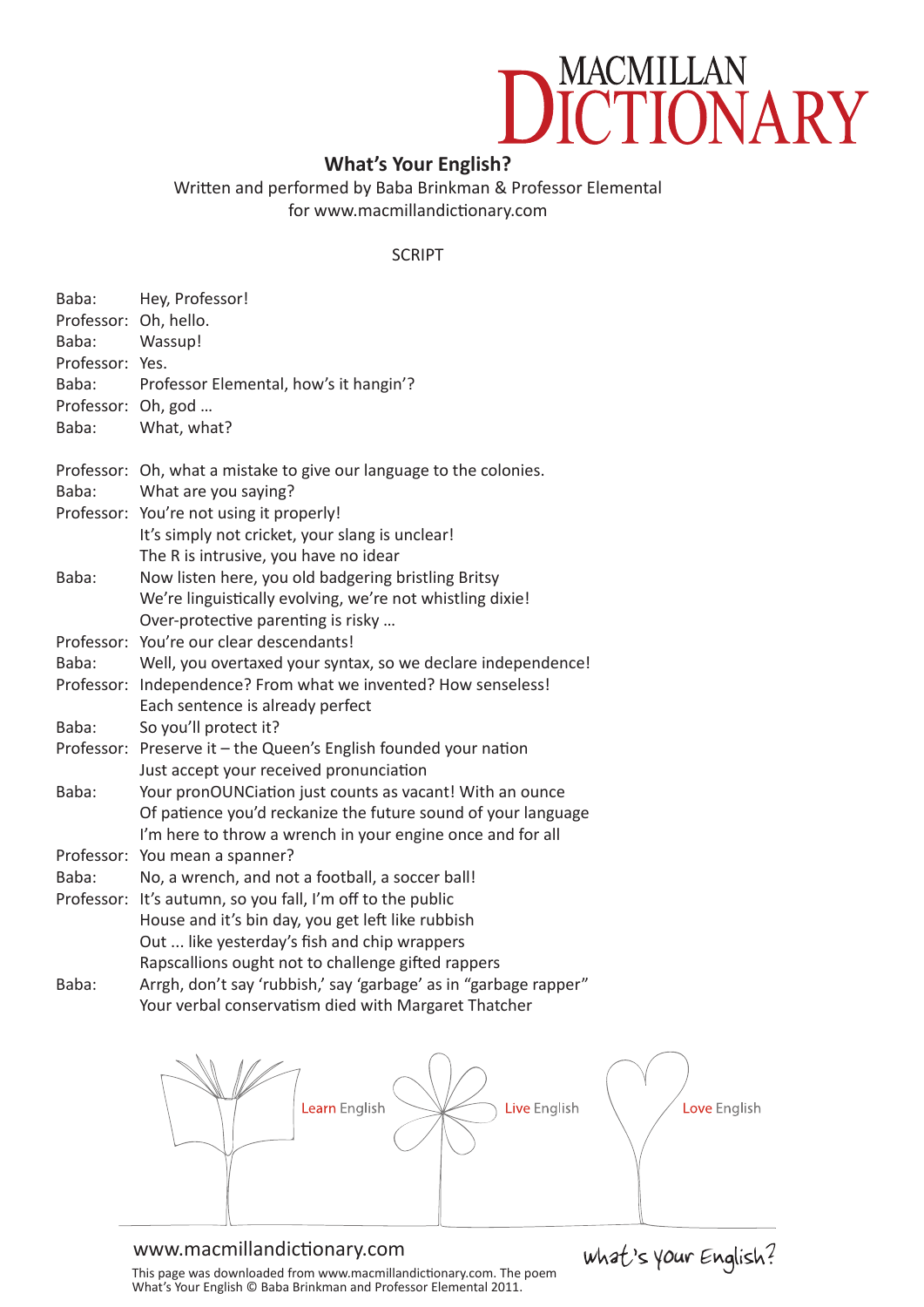## MACMILLAN<br>**ICTIONA** RY

## **What's Your English?**

Written and performed by Baba Brinkman & Professor Elemental for [www.macmillandictionary.com](http://www.macmillandictionary.com)

## SCRIPT

| Hey, Professor!<br>Professor: Oh, hello.<br>Wassup!<br>Professor: Yes.<br>Professor Elemental, how's it hangin'?<br>Professor: Oh, god<br>What, what? |
|-------------------------------------------------------------------------------------------------------------------------------------------------------|
| Professor: Oh, what a mistake to give our language to the colonies.                                                                                   |
| What are you saying?                                                                                                                                  |
| Professor: You're not using it properly!                                                                                                              |
| It's simply not cricket, your slang is unclear!                                                                                                       |
| The R is intrusive, you have no idear                                                                                                                 |
| Now listen here, you old badgering bristling Britsy                                                                                                   |
| We're linguistically evolving, we're not whistling dixie!                                                                                             |
| Over-protective parenting is risky                                                                                                                    |
| Professor: You're our clear descendants!                                                                                                              |
| Well, you overtaxed your syntax, so we declare independence!                                                                                          |
| Professor: Independence? From what we invented? How senseless!<br>Each sentence is already perfect                                                    |
| So you'll protect it?                                                                                                                                 |
| Professor: Preserve it - the Queen's English founded your nation                                                                                      |
| Just accept your received pronunciation                                                                                                               |
| Your pronOUNCiation just counts as vacant! With an ounce                                                                                              |
| Of patience you'd reckanize the future sound of your language                                                                                         |
| I'm here to throw a wrench in your engine once and for all                                                                                            |
| Professor: You mean a spanner?                                                                                                                        |
| No, a wrench, and not a football, a soccer ball!                                                                                                      |
| Professor: It's autumn, so you fall, I'm off to the public                                                                                            |
| House and it's bin day, you get left like rubbish                                                                                                     |
| Out  like yesterday's fish and chip wrappers                                                                                                          |
| Rapscallions ought not to challenge gifted rappers                                                                                                    |
| Arrgh, don't say 'rubbish,' say 'garbage' as in "garbage rapper"                                                                                      |
| Your verbal conservatism died with Margaret Thatcher                                                                                                  |
|                                                                                                                                                       |
|                                                                                                                                                       |



## [www.macmillandictionary.com](http://www.macmillandictionary.com)

This page was downloaded from [www.macmillandictionary.com.](http://www.macmillandictionary.com) The poem What's Your English © Baba Brinkman and Professor Elemental 2011.

What's your English?